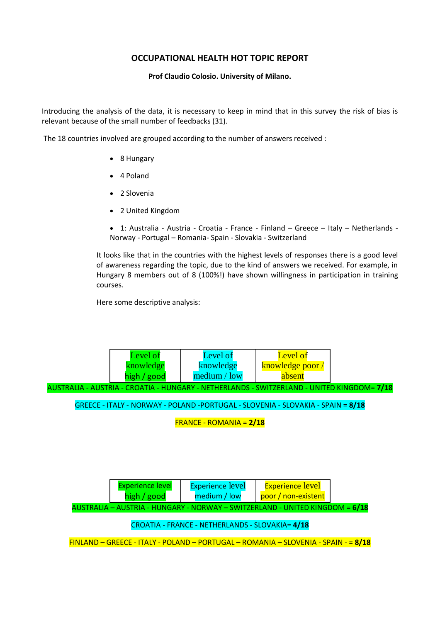## **OCCUPATIONAL HEALTH HOT TOPIC REPORT**

## **Prof Claudio Colosio. University of Milano.**

Introducing the analysis of the data, it is necessary to keep in mind that in this survey the risk of bias is relevant because of the small number of feedbacks (31).

The 18 countries involved are grouped according to the number of answers received :

- 8 Hungary
- 4 Poland
- 2 Slovenia
- 2 United Kingdom
- 1: Australia Austria Croatia France Finland Greece Italy Netherlands Norway - Portugal – Romania- Spain - Slovakia - Switzerland

It looks like that in the countries with the highest levels of responses there is a good level of awareness regarding the topic, due to the kind of answers we received. For example, in Hungary 8 members out of 8 (100%!) have shown willingness in participation in training courses.

Here some descriptive analysis:

|                                                                                                           | Level of    | Level of     | Level of         |  |  |  |
|-----------------------------------------------------------------------------------------------------------|-------------|--------------|------------------|--|--|--|
|                                                                                                           | knowledge   | knowledge    | knowledge poor / |  |  |  |
|                                                                                                           | high / good | medium / low | absent           |  |  |  |
| <u> AUSTRALIA - AUSTRIA - CROATIA - HUNGARY - NETHERLANDS - SWITZERLAND - UNITED KINGDOM= <b>7/18</b></u> |             |              |                  |  |  |  |

GREECE - ITALY - NORWAY - POLAND -PORTUGAL - SLOVENIA - SLOVAKIA - SPAIN = **8/18**

FRANCE - ROMANIA = **2/18**

|                                                                                      | Experience level | <b>Experience level</b> | <b>Experience level</b> |  |  |  |  |
|--------------------------------------------------------------------------------------|------------------|-------------------------|-------------------------|--|--|--|--|
|                                                                                      | high / good      | medium / low            | poor / non-existent     |  |  |  |  |
| <u> AUSTRALIA – AUSTRIA - HUNGARY - NORWAY – SWITZERLAND - UNITED KINGDOM = 6/18</u> |                  |                         |                         |  |  |  |  |

CROATIA - FRANCE - NETHERLANDS - SLOVAKIA= **4/18**

FINLAND – GREECE - ITALY - POLAND – PORTUGAL – ROMANIA – SLOVENIA - SPAIN - = **8/18**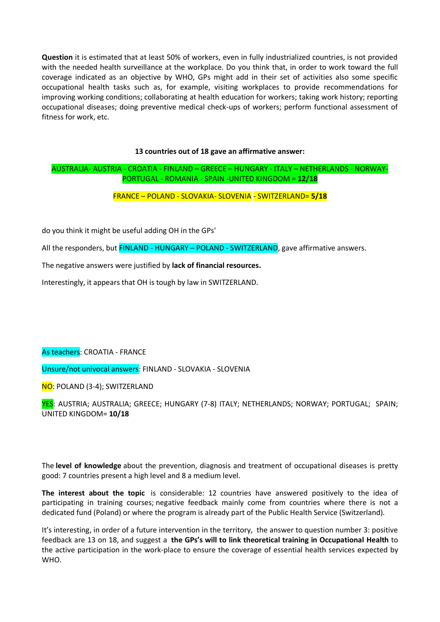**Question** it is estimated that at least 50% of workers, even in fully industrialized countries, is not provided with the needed health surveillance at the workplace. Do you think that, in order to work toward the full coverage indicated as an objective by WHO, GPs might add in their set of activities also some specific occupational health tasks such as, for example, visiting workplaces to provide recommendations for improving working conditions; collaborating at health education for workers; taking work history; reporting occupational diseases; doing preventive medical check-ups of workers; perform functional assessment of fitness for work, etc.

## **13 countries out of 18 gave an affirmative answer:**

## AUSTRALIA- AUSTRIA - CROATIA - FINLAND – GREECE – HUNGARY - ITALY – NETHERLANDS - NORWAY-PORTUGAL - ROMANIA - SPAIN -UNITED KINGDOM = **12/18**

FRANCE – POLAND - SLOVAKIA- SLOVENIA - SWITZERLAND= **5/18**

do you think it might be useful adding OH in the GPs'

All the responders, but FINLAND - HUNGARY – POLAND - SWITZERLAND, gave affirmative answers.

The negative answers were justified by **lack of financial resources.** 

Interestingly, it appears that OH is tough by law in SWITZERLAND.

As teachers: CROATIA - FRANCE

Unsure/not univocal answers: FINLAND - SLOVAKIA - SLOVENIA

NO: POLAND (3-4); SWITZERLAND

YES: AUSTRIA; AUSTRALIA; GREECE; HUNGARY (7-8) ITALY; NETHERLANDS; NORWAY; PORTUGAL; SPAIN; UNITED KINGDOM= **10/18**

The **level of knowledge** about the prevention, diagnosis and treatment of occupational diseases is pretty good: 7 countries present a high level and 8 a medium level.

**The interest about the topic** is considerable: 12 countries have answered positively to the idea of participating in training courses; negative feedback mainly come from countries where there is not a dedicated fund (Poland) or where the program is already part of the Public Health Service (Switzerland).

It's interesting, in order of a future intervention in the territory, the answer to question number 3: positive feedback are 13 on 18, and suggest a **the GPs's will to link theoretical training in Occupational Health** to the active participation in the work-place to ensure the coverage of essential health services expected by WHO.